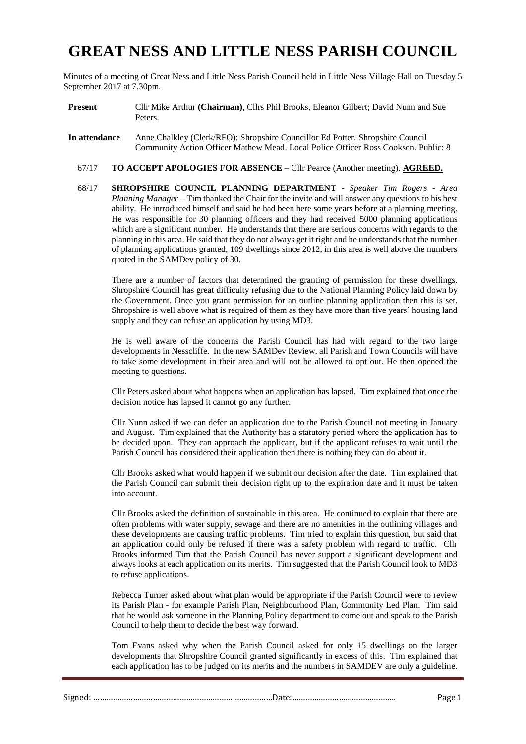# **GREAT NESS AND LITTLE NESS PARISH COUNCIL**

Minutes of a meeting of Great Ness and Little Ness Parish Council held in Little Ness Village Hall on Tuesday 5 September 2017 at 7.30pm.

- **Present** Cllr Mike Arthur **(Chairman)**, Cllrs Phil Brooks, Eleanor Gilbert; David Nunn and Sue Peters.
- **In attendance** Anne Chalkley (Clerk/RFO); Shropshire Councillor Ed Potter. Shropshire Council Community Action Officer Mathew Mead. Local Police Officer Ross Cookson. Public: 8
	- 67/17 **TO ACCEPT APOLOGIES FOR ABSENCE –** Cllr Pearce (Another meeting). **AGREED.**
	- 68/17 **SHROPSHIRE COUNCIL PLANNING DEPARTMENT** *Speaker Tim Rogers - Area Planning Manager –* Tim thanked the Chair for the invite and will answer any questions to his best ability. He introduced himself and said he had been here some years before at a planning meeting. He was responsible for 30 planning officers and they had received 5000 planning applications which are a significant number. He understands that there are serious concerns with regards to the planning in this area. He said that they do not always get it right and he understands that the number of planning applications granted, 109 dwellings since 2012, in this area is well above the numbers quoted in the SAMDev policy of 30.

There are a number of factors that determined the granting of permission for these dwellings. Shropshire Council has great difficulty refusing due to the National Planning Policy laid down by the Government. Once you grant permission for an outline planning application then this is set. Shropshire is well above what is required of them as they have more than five years' housing land supply and they can refuse an application by using MD3.

He is well aware of the concerns the Parish Council has had with regard to the two large developments in Nesscliffe. In the new SAMDev Review, all Parish and Town Councils will have to take some development in their area and will not be allowed to opt out. He then opened the meeting to questions.

Cllr Peters asked about what happens when an application has lapsed. Tim explained that once the decision notice has lapsed it cannot go any further.

Cllr Nunn asked if we can defer an application due to the Parish Council not meeting in January and August. Tim explained that the Authority has a statutory period where the application has to be decided upon. They can approach the applicant, but if the applicant refuses to wait until the Parish Council has considered their application then there is nothing they can do about it.

Cllr Brooks asked what would happen if we submit our decision after the date. Tim explained that the Parish Council can submit their decision right up to the expiration date and it must be taken into account.

Cllr Brooks asked the definition of sustainable in this area. He continued to explain that there are often problems with water supply, sewage and there are no amenities in the outlining villages and these developments are causing traffic problems. Tim tried to explain this question, but said that an application could only be refused if there was a safety problem with regard to traffic. Cllr Brooks informed Tim that the Parish Council has never support a significant development and always looks at each application on its merits. Tim suggested that the Parish Council look to MD3 to refuse applications.

Rebecca Turner asked about what plan would be appropriate if the Parish Council were to review its Parish Plan - for example Parish Plan, Neighbourhood Plan, Community Led Plan. Tim said that he would ask someone in the Planning Policy department to come out and speak to the Parish Council to help them to decide the best way forward.

Tom Evans asked why when the Parish Council asked for only 15 dwellings on the larger developments that Shropshire Council granted significantly in excess of this. Tim explained that each application has to be judged on its merits and the numbers in SAMDEV are only a guideline.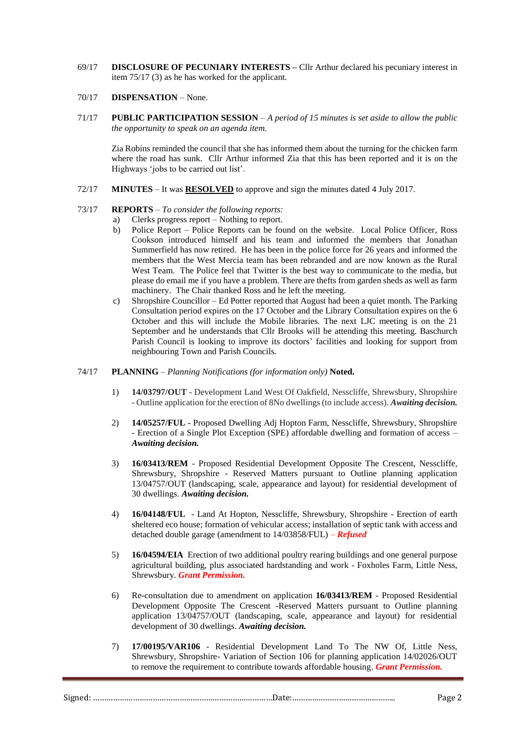69/17 **DISCLOSURE OF PECUNIARY INTERESTS –** Cllr Arthur declared his pecuniary interest in item 75/17 (3) as he has worked for the applicant.

#### 70/17 **DISPENSATION** – None.

71/17 **PUBLIC PARTICIPATION SESSION** – *A period of 15 minutes is set aside to allow the public the opportunity to speak on an agenda item.*

Zia Robins reminded the council that she has informed them about the turning for the chicken farm where the road has sunk. Cllr Arthur informed Zia that this has been reported and it is on the Highways 'jobs to be carried out list'.

72/17 **MINUTES** – It was **RESOLVED** to approve and sign the minutes dated 4 July 2017.

# 73/17 **REPORTS** – *To consider the following reports:*

- a) Clerks progress report Nothing to report.
- b) Police Report Police Reports can be found on the website. Local Police Officer, Ross Cookson introduced himself and his team and informed the members that Jonathan Summerfield has now retired. He has been in the police force for 26 years and informed the members that the West Mercia team has been rebranded and are now known as the Rural West Team. The Police feel that Twitter is the best way to communicate to the media, but please do email me if you have a problem. There are thefts from garden sheds as well as farm machinery. The Chair thanked Ross and he left the meeting.
- c) Shropshire Councillor Ed Potter reported that August had been a quiet month. The Parking Consultation period expires on the 17 October and the Library Consultation expires on the 6 October and this will include the Mobile libraries. The next LJC meeting is on the 21 September and he understands that Cllr Brooks will be attending this meeting. Baschurch Parish Council is looking to improve its doctors' facilities and looking for support from neighbouring Town and Parish Councils.
- 74/17 **PLANNING** *Planning Notifications (for information only)* **Noted.**
	- 1) **14/03797/OUT** Development Land West Of Oakfield, Nesscliffe, Shrewsbury, Shropshire - Outline application for the erection of 8No dwellings (to include access). *Awaiting decision.*
	- 2) **14/05257/FUL** Proposed Dwelling Adj Hopton Farm, Nesscliffe, Shrewsbury, Shropshire - Erection of a Single Plot Exception (SPE) affordable dwelling and formation of access – *Awaiting decision.*
	- 3) **16/03413/REM** Proposed Residential Development Opposite The Crescent, Nesscliffe, Shrewsbury, Shropshire - Reserved Matters pursuant to Outline planning application 13/04757/OUT (landscaping, scale, appearance and layout) for residential development of 30 dwellings. *Awaiting decision.*
	- 4) **16/04148/FUL** Land At Hopton, Nesscliffe, Shrewsbury, Shropshire Erection of earth sheltered eco house; formation of vehicular access; installation of septic tank with access and detached double garage (amendment to 14/03858/FUL) – *Refused*
	- 5) **16/04594/EIA** Erection of two additional poultry rearing buildings and one general purpose agricultural building, plus associated hardstanding and work - Foxholes Farm, Little Ness, Shrewsbury. *Grant Permission.*
	- 6) Re-consultation due to amendment on application **16/03413/REM** Proposed Residential Development Opposite The Crescent -Reserved Matters pursuant to Outline planning application 13/04757/OUT (landscaping, scale, appearance and layout) for residential development of 30 dwellings. *Awaiting decision.*
	- 7) **17/00195/VAR106** Residential Development Land To The NW Of, Little Ness, Shrewsbury, Shropshire- Variation of Section 106 for planning application 14/02026/OUT to remove the requirement to contribute towards affordable housing. *Grant Permission.*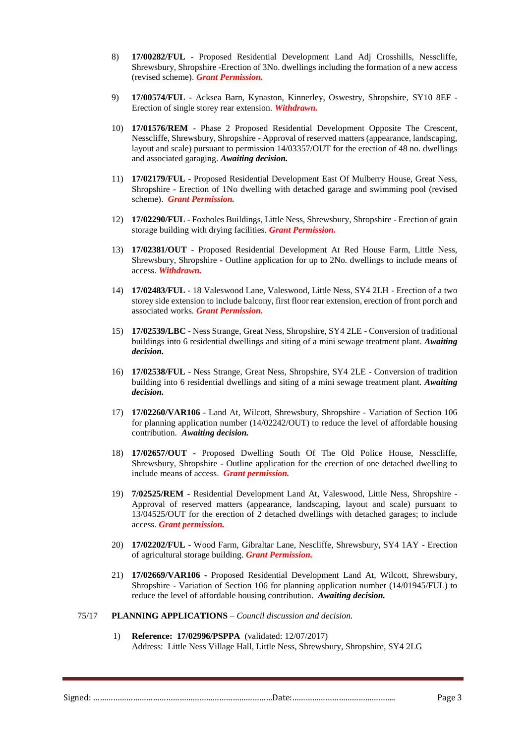- 8) **17/00282/FUL** Proposed Residential Development Land Adj Crosshills, Nesscliffe, Shrewsbury, Shropshire -Erection of 3No. dwellings including the formation of a new access (revised scheme). *Grant Permission.*
- 9) **17/00574/FUL** Acksea Barn, Kynaston, Kinnerley, Oswestry, Shropshire, SY10 8EF Erection of single storey rear extension*. Withdrawn.*
- 10) **17/01576/REM** Phase 2 Proposed Residential Development Opposite The Crescent, Nesscliffe, Shrewsbury, Shropshire - Approval of reserved matters (appearance, landscaping, layout and scale) pursuant to permission 14/03357/OUT for the erection of 48 no. dwellings and associated garaging. *Awaiting decision.*
- 11) **17/02179/FUL** Proposed Residential Development East Of Mulberry House, Great Ness, Shropshire - Erection of 1No dwelling with detached garage and swimming pool (revised scheme). *Grant Permission.*
- 12) **17/02290/FUL** Foxholes Buildings, Little Ness, Shrewsbury, Shropshire Erection of grain storage building with drying facilities. *Grant Permission.*
- 13) **17/02381/OUT** Proposed Residential Development At Red House Farm, Little Ness, Shrewsbury, Shropshire - Outline application for up to 2No. dwellings to include means of access. *Withdrawn.*
- 14) **17/02483/FUL** 18 Valeswood Lane, Valeswood, Little Ness, SY4 2LH Erection of a two storey side extension to include balcony, first floor rear extension, erection of front porch and associated works. *Grant Permission.*
- 15) **17/02539/LBC** Ness Strange, Great Ness, Shropshire, SY4 2LE Conversion of traditional buildings into 6 residential dwellings and siting of a mini sewage treatment plant. *Awaiting decision.*
- 16) **17/02538/FUL** Ness Strange, Great Ness, Shropshire, SY4 2LE Conversion of tradition building into 6 residential dwellings and siting of a mini sewage treatment plant. *Awaiting decision.*
- 17) **17/02260/VAR106** Land At, Wilcott, Shrewsbury, Shropshire Variation of Section 106 for planning application number (14/02242/OUT) to reduce the level of affordable housing contribution. *Awaiting decision.*
- 18) **17/02657/OUT** Proposed Dwelling South Of The Old Police House, Nesscliffe, Shrewsbury, Shropshire - Outline application for the erection of one detached dwelling to include means of access. *Grant permission.*
- 19) **7/02525/REM** Residential Development Land At, Valeswood, Little Ness, Shropshire Approval of reserved matters (appearance, landscaping, layout and scale) pursuant to 13/04525/OUT for the erection of 2 detached dwellings with detached garages; to include access. *Grant permission.*
- 20) **17/02202/FUL** Wood Farm, Gibraltar Lane, Nescliffe, Shrewsbury, SY4 1AY Erection of agricultural storage building. *Grant Permission.*
- 21) **17/02669/VAR106** Proposed Residential Development Land At, Wilcott, Shrewsbury, Shropshire - Variation of Section 106 for planning application number (14/01945/FUL) to reduce the level of affordable housing contribution. *Awaiting decision.*
- 75/17 **PLANNING APPLICATIONS** *Council discussion and decision.*
	- 1) **Reference: 17/02996/PSPPA** (validated: 12/07/2017) Address: Little Ness Village Hall, Little Ness, Shrewsbury, Shropshire, SY4 2LG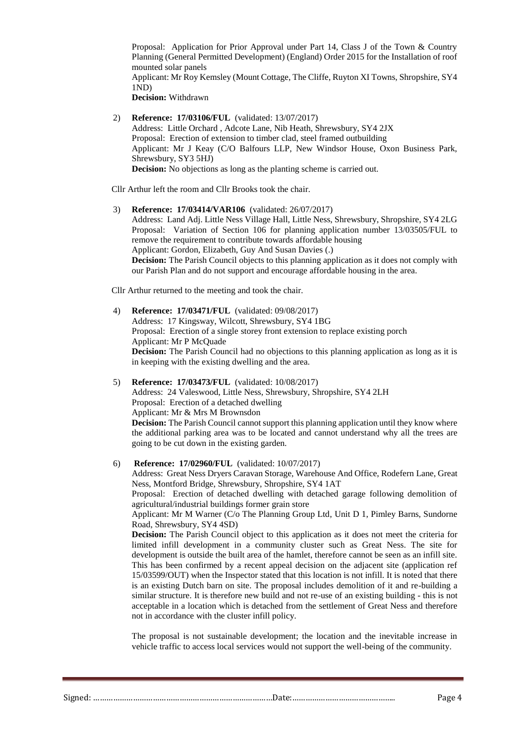Proposal: Application for Prior Approval under Part 14, Class J of the Town & Country Planning (General Permitted Development) (England) Order 2015 for the Installation of roof mounted solar panels Applicant: Mr Roy Kemsley (Mount Cottage, The Cliffe, Ruyton XI Towns, Shropshire, SY4 1ND)

**Decision:** Withdrawn

2) **Reference: 17/03106/FUL** (validated: 13/07/2017) Address: Little Orchard , Adcote Lane, Nib Heath, Shrewsbury, SY4 2JX Proposal: Erection of extension to timber clad, steel framed outbuilding Applicant: Mr J Keay (C/O Balfours LLP, New Windsor House, Oxon Business Park, Shrewsbury, SY3 5HJ) **Decision:** No objections as long as the planting scheme is carried out.

Cllr Arthur left the room and Cllr Brooks took the chair.

3) **Reference: 17/03414/VAR106** (validated: 26/07/2017) Address: Land Adj. Little Ness Village Hall, Little Ness, Shrewsbury, Shropshire, SY4 2LG Proposal: Variation of Section 106 for planning application number 13/03505/FUL to remove the requirement to contribute towards affordable housing Applicant: Gordon, Elizabeth, Guy And Susan Davies (.) **Decision:** The Parish Council objects to this planning application as it does not comply with our Parish Plan and do not support and encourage affordable housing in the area.

Cllr Arthur returned to the meeting and took the chair.

- 4) **Reference: 17/03471/FUL** (validated: 09/08/2017) Address: 17 Kingsway, Wilcott, Shrewsbury, SY4 1BG Proposal: Erection of a single storey front extension to replace existing porch Applicant: Mr P McQuade **Decision:** The Parish Council had no objections to this planning application as long as it is in keeping with the existing dwelling and the area.
- 5) **Reference: 17/03473/FUL** (validated: 10/08/2017) Address: 24 Valeswood, Little Ness, Shrewsbury, Shropshire, SY4 2LH Proposal: Erection of a detached dwelling Applicant: Mr & Mrs M Brownsdon **Decision:** The Parish Council cannot support this planning application until they know where the additional parking area was to be located and cannot understand why all the trees are going to be cut down in the existing garden.
- 6) **Reference: 17/02960/FUL** (validated: 10/07/2017)

Address: Great Ness Dryers Caravan Storage, Warehouse And Office, Rodefern Lane, Great Ness, Montford Bridge, Shrewsbury, Shropshire, SY4 1AT

Proposal: Erection of detached dwelling with detached garage following demolition of agricultural/industrial buildings former grain store

Applicant: Mr M Warner (C/o The Planning Group Ltd, Unit D 1, Pimley Barns, Sundorne Road, Shrewsbury, SY4 4SD)

**Decision:** The Parish Council object to this application as it does not meet the criteria for limited infill development in a community cluster such as Great Ness. The site for development is outside the built area of the hamlet, therefore cannot be seen as an infill site. This has been confirmed by a recent appeal decision on the adjacent site (application ref 15/03599/OUT) when the Inspector stated that this location is not infill. It is noted that there is an existing Dutch barn on site. The proposal includes demolition of it and re-building a similar structure. It is therefore new build and not re-use of an existing building - this is not acceptable in a location which is detached from the settlement of Great Ness and therefore not in accordance with the cluster infill policy.

The proposal is not sustainable development; the location and the inevitable increase in vehicle traffic to access local services would not support the well-being of the community.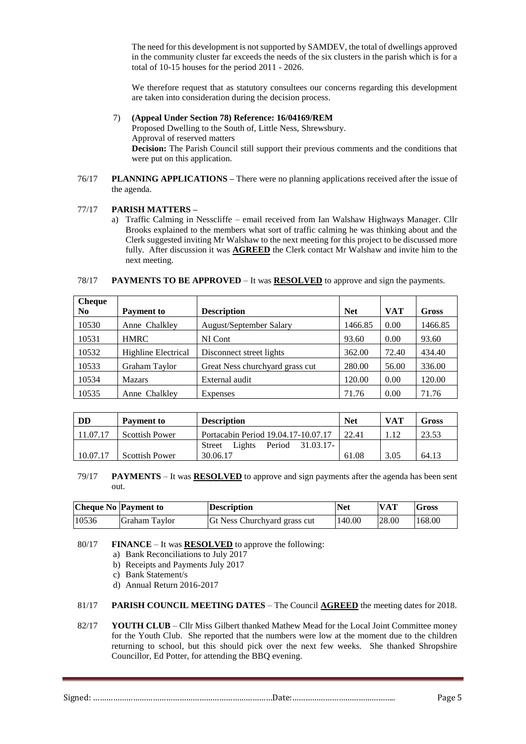The need for this development is not supported by SAMDEV, the total of dwellings approved in the community cluster far exceeds the needs of the six clusters in the parish which is for a total of 10-15 houses for the period 2011 - 2026.

We therefore request that as statutory consultees our concerns regarding this development are taken into consideration during the decision process.

#### 7) **(Appeal Under Section 78) Reference: 16/04169/REM**

Proposed Dwelling to the South of, Little Ness, Shrewsbury. Approval of reserved matters **Decision:** The Parish Council still support their previous comments and the conditions that were put on this application.

76/17 **PLANNING APPLICATIONS –** There were no planning applications received after the issue of the agenda.

# 77/17 **PARISH MATTERS –**

a) Traffic Calming in Nesscliffe – email received from Ian Walshaw Highways Manager. Cllr Brooks explained to the members what sort of traffic calming he was thinking about and the Clerk suggested inviting Mr Walshaw to the next meeting for this project to be discussed more fully. After discussion it was **AGREED** the Clerk contact Mr Walshaw and invite him to the next meeting.

| <b>Cheque</b>  |                            |                                 |            |            |         |
|----------------|----------------------------|---------------------------------|------------|------------|---------|
| N <sub>0</sub> | <b>Payment to</b>          | <b>Description</b>              | <b>Net</b> | <b>VAT</b> | Gross   |
| 10530          | Anne Chalkley              | August/September Salary         | 1466.85    | 0.00       | 1466.85 |
| 10531          | <b>HMRC</b>                | NI Cont                         | 93.60      | 0.00       | 93.60   |
| 10532          | <b>Highline Electrical</b> | Disconnect street lights        | 362.00     | 72.40      | 434.40  |
| 10533          | Graham Taylor              | Great Ness churchyard grass cut | 280.00     | 56.00      | 336.00  |
| 10534          | <b>Mazars</b>              | External audit                  | 120.00     | 0.00       | 120.00  |
| 10535          | Anne Chalkley              | Expenses                        | 71.76      | 0.00       | 71.76   |

#### 78/17 **PAYMENTS TO BE APPROVED** – It was **RESOLVED** to approve and sign the payments.

| DD       | Payment to            | <b>Description</b>                             | <b>Net</b> | <b>VAT</b> | Gross |
|----------|-----------------------|------------------------------------------------|------------|------------|-------|
| 11.07.17 | <b>Scottish Power</b> | Portacabin Period 19.04.17-10.07.17            | 22.41      |            | 23.53 |
|          |                       | 31.03.17-<br>Period<br>Lights<br><b>Street</b> |            |            |       |
| 10.07.17 | <b>Scottish Power</b> | 30.06.17                                       | 61.08      | 3.05       | 64.13 |

79/17 **PAYMENTS** – It was **RESOLVED** to approve and sign payments after the agenda has been sent out.

|       | <b>Cheque No Payment to</b> | <b>Description</b>                  | <b>Net</b> | <b>VAT</b> | <b>Gross</b> |
|-------|-----------------------------|-------------------------------------|------------|------------|--------------|
| 10536 | Graham Taylor               | <b>Gt Ness Churchyard grass cut</b> | 140.00     | 28.00      | 168.00       |

- 80/17 **FINANCE** It was **RESOLVED** to approve the following:
	- a) Bank Reconciliations to July 2017
	- b) Receipts and Payments July 2017
	- c) Bank Statement/s
	- d) Annual Return 2016-2017
- 81/17 **PARISH COUNCIL MEETING DATES** The Council **AGREED** the meeting dates for 2018.
- 82/17 **YOUTH CLUB** Cllr Miss Gilbert thanked Mathew Mead for the Local Joint Committee money for the Youth Club. She reported that the numbers were low at the moment due to the children returning to school, but this should pick over the next few weeks. She thanked Shropshire Councillor, Ed Potter, for attending the BBQ evening.